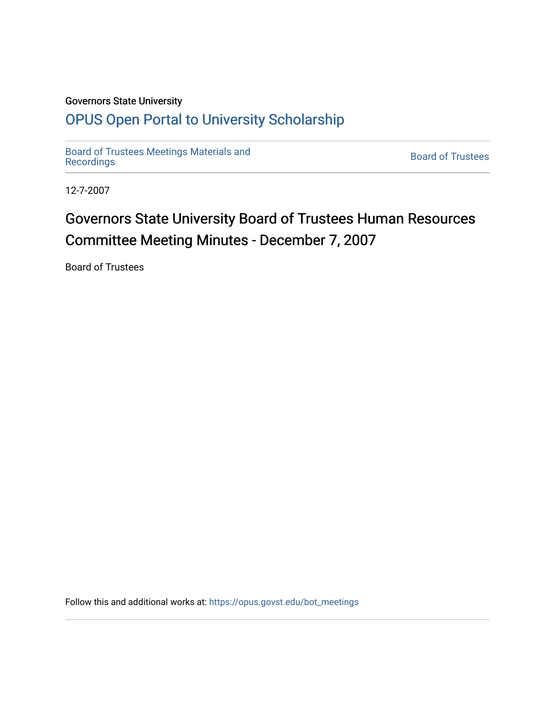## Governors State University

## [OPUS Open Portal to University Scholarship](https://opus.govst.edu/)

[Board of Trustees Meetings Materials and](https://opus.govst.edu/bot_meetings) state of the control of Trustees Board of Trustees<br>[Recordings](https://opus.govst.edu/bot_meetings)

12-7-2007

# Governors State University Board of Trustees Human Resources Committee Meeting Minutes - December 7, 2007

Board of Trustees

Follow this and additional works at: [https://opus.govst.edu/bot\\_meetings](https://opus.govst.edu/bot_meetings?utm_source=opus.govst.edu%2Fbot_meetings%2F41&utm_medium=PDF&utm_campaign=PDFCoverPages)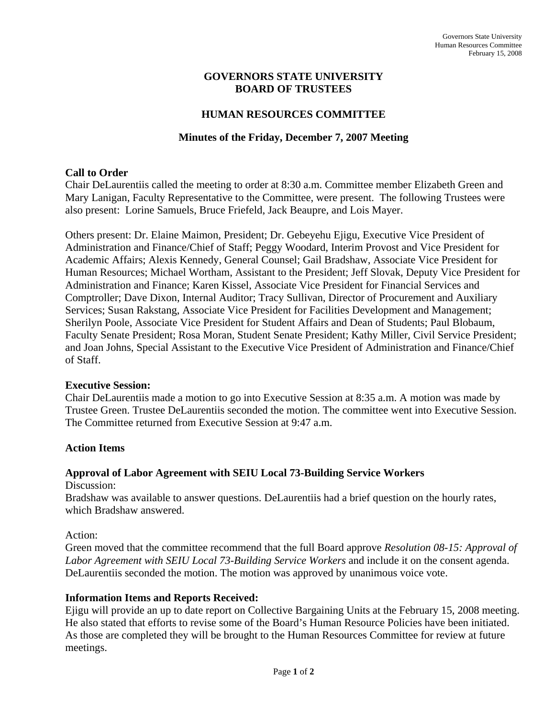## **GOVERNORS STATE UNIVERSITY BOARD OF TRUSTEES**

## **HUMAN RESOURCES COMMITTEE**

## **Minutes of the Friday, December 7, 2007 Meeting**

#### **Call to Order**

Chair DeLaurentiis called the meeting to order at 8:30 a.m. Committee member Elizabeth Green and Mary Lanigan, Faculty Representative to the Committee, were present. The following Trustees were also present: Lorine Samuels, Bruce Friefeld, Jack Beaupre, and Lois Mayer.

Others present: Dr. Elaine Maimon, President; Dr. Gebeyehu Ejigu, Executive Vice President of Administration and Finance/Chief of Staff; Peggy Woodard, Interim Provost and Vice President for Academic Affairs; Alexis Kennedy, General Counsel; Gail Bradshaw, Associate Vice President for Human Resources; Michael Wortham, Assistant to the President; Jeff Slovak, Deputy Vice President for Administration and Finance; Karen Kissel, Associate Vice President for Financial Services and Comptroller; Dave Dixon, Internal Auditor; Tracy Sullivan, Director of Procurement and Auxiliary Services; Susan Rakstang, Associate Vice President for Facilities Development and Management; Sherilyn Poole, Associate Vice President for Student Affairs and Dean of Students; Paul Blobaum, Faculty Senate President; Rosa Moran, Student Senate President; Kathy Miller, Civil Service President; and Joan Johns, Special Assistant to the Executive Vice President of Administration and Finance/Chief of Staff.

#### **Executive Session:**

Chair DeLaurentiis made a motion to go into Executive Session at 8:35 a.m. A motion was made by Trustee Green. Trustee DeLaurentiis seconded the motion. The committee went into Executive Session. The Committee returned from Executive Session at 9:47 a.m.

## **Action Items**

#### **Approval of Labor Agreement with SEIU Local 73-Building Service Workers**

Discussion:

Bradshaw was available to answer questions. DeLaurentiis had a brief question on the hourly rates, which Bradshaw answered.

#### Action:

Green moved that the committee recommend that the full Board approve *Resolution 08-15: Approval of Labor Agreement with SEIU Local 73-Building Service Workers* and include it on the consent agenda. DeLaurentiis seconded the motion. The motion was approved by unanimous voice vote.

## **Information Items and Reports Received:**

Ejigu will provide an up to date report on Collective Bargaining Units at the February 15, 2008 meeting. He also stated that efforts to revise some of the Board's Human Resource Policies have been initiated. As those are completed they will be brought to the Human Resources Committee for review at future meetings.